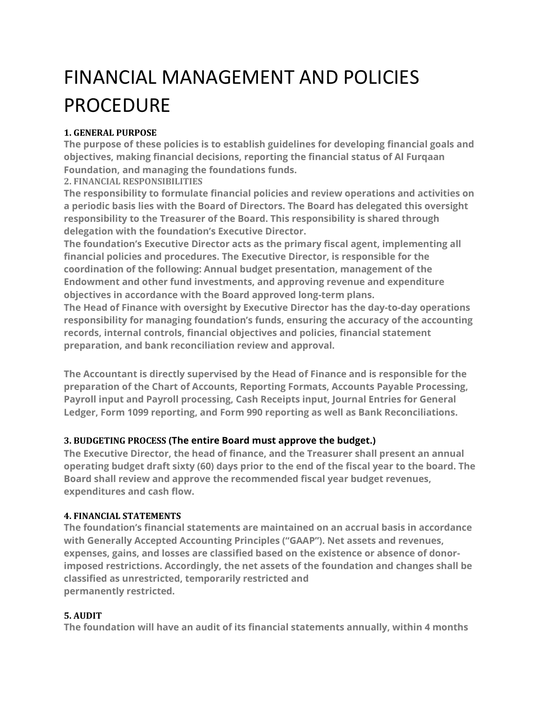# FINANCIAL MANAGEMENT AND POLICIES PROCEDURE

# **1. GENERAL PURPOSE**

**The purpose of these policies is to establish guidelines for developing financial goals and objectives, making financial decisions, reporting the financial status of Al Furqaan Foundation, and managing the foundations funds.**

# **2. FINANCIAL RESPONSIBILITIES**

**The responsibility to formulate financial policies and review operations and activities on a periodic basis lies with the Board of Directors. The Board has delegated this oversight responsibility to the Treasurer of the Board. This responsibility is shared through delegation with the foundation's Executive Director.**

**The foundation's Executive Director acts as the primary fiscal agent, implementing all financial policies and procedures. The Executive Director, is responsible for the coordination of the following: Annual budget presentation, management of the Endowment and other fund investments, and approving revenue and expenditure objectives in accordance with the Board approved long-term plans.**

**The Head of Finance with oversight by Executive Director has the day-to-day operations responsibility for managing foundation's funds, ensuring the accuracy of the accounting records, internal controls, financial objectives and policies, financial statement preparation, and bank reconciliation review and approval.**

**The Accountant is directly supervised by the Head of Finance and is responsible for the preparation of the Chart of Accounts, Reporting Formats, Accounts Payable Processing, Payroll input and Payroll processing, Cash Receipts input, Journal Entries for General Ledger, Form 1099 reporting, and Form 990 reporting as well as Bank Reconciliations.**

# **3. BUDGETING PROCESS (The entire Board must approve the budget.)**

**The Executive Director, the head of finance, and the Treasurer shall present an annual operating budget draft sixty (60) days prior to the end of the fiscal year to the board. The Board shall review and approve the recommended fiscal year budget revenues, expenditures and cash flow.**

# **4. FINANCIAL STATEMENTS**

**The foundation's financial statements are maintained on an accrual basis in accordance with Generally Accepted Accounting Principles ("GAAP"). Net assets and revenues, expenses, gains, and losses are classified based on the existence or absence of donorimposed restrictions. Accordingly, the net assets of the foundation and changes shall be classified as unrestricted, temporarily restricted and permanently restricted.**

# **5. AUDIT**

**The foundation will have an audit of its financial statements annually, within 4 months**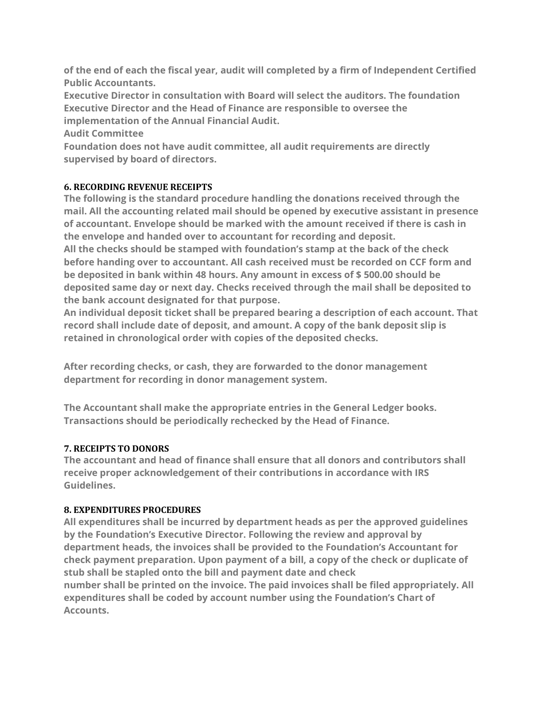**of the end of each the fiscal year, audit will completed by a firm of Independent Certified Public Accountants.**

**Executive Director in consultation with Board will select the auditors. The foundation Executive Director and the Head of Finance are responsible to oversee the implementation of the Annual Financial Audit.**

**Audit Committee**

**Foundation does not have audit committee, all audit requirements are directly supervised by board of directors.**

# **6. RECORDING REVENUE RECEIPTS**

**The following is the standard procedure handling the donations received through the mail. All the accounting related mail should be opened by executive assistant in presence of accountant. Envelope should be marked with the amount received if there is cash in the envelope and handed over to accountant for recording and deposit.**

**All the checks should be stamped with foundation's stamp at the back of the check before handing over to accountant. All cash received must be recorded on CCF form and be deposited in bank within 48 hours. Any amount in excess of \$ 500.00 should be deposited same day or next day. Checks received through the mail shall be deposited to the bank account designated for that purpose.**

**An individual deposit ticket shall be prepared bearing a description of each account. That record shall include date of deposit, and amount. A copy of the bank deposit slip is retained in chronological order with copies of the deposited checks.**

**After recording checks, or cash, they are forwarded to the donor management department for recording in donor management system.**

**The Accountant shall make the appropriate entries in the General Ledger books. Transactions should be periodically rechecked by the Head of Finance.**

# **7. RECEIPTS TO DONORS**

**The accountant and head of finance shall ensure that all donors and contributors shall receive proper acknowledgement of their contributions in accordance with IRS Guidelines.**

# **8. EXPENDITURES PROCEDURES**

**All expenditures shall be incurred by department heads as per the approved guidelines by the Foundation's Executive Director. Following the review and approval by department heads, the invoices shall be provided to the Foundation's Accountant for check payment preparation. Upon payment of a bill, a copy of the check or duplicate of stub shall be stapled onto the bill and payment date and check number shall be printed on the invoice. The paid invoices shall be filed appropriately. All expenditures shall be coded by account number using the Foundation's Chart of Accounts.**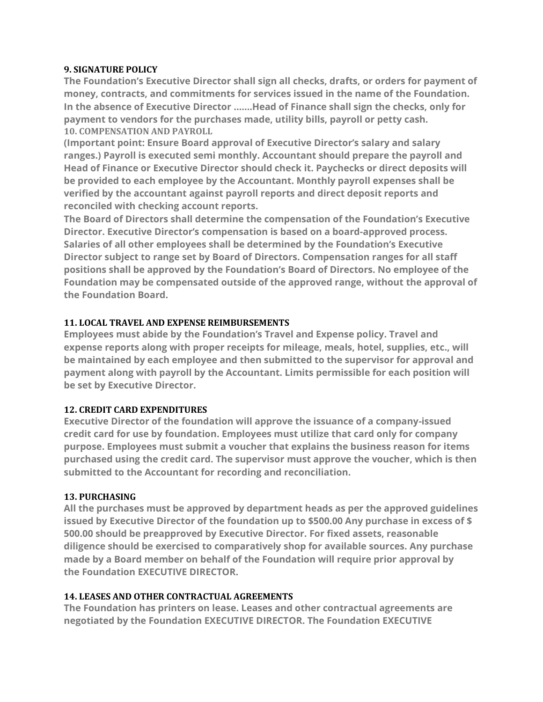#### **9. SIGNATURE POLICY**

**The Foundation's Executive Director shall sign all checks, drafts, or orders for payment of money, contracts, and commitments for services issued in the name of the Foundation. In the absence of Executive Director …….Head of Finance shall sign the checks, only for payment to vendors for the purchases made, utility bills, payroll or petty cash. 10. COMPENSATION AND PAYROLL**

**(Important point: Ensure Board approval of Executive Director's salary and salary ranges.) Payroll is executed semi monthly. Accountant should prepare the payroll and Head of Finance or Executive Director should check it. Paychecks or direct deposits will be provided to each employee by the Accountant. Monthly payroll expenses shall be verified by the accountant against payroll reports and direct deposit reports and reconciled with checking account reports.**

**The Board of Directors shall determine the compensation of the Foundation's Executive Director. Executive Director's compensation is based on a board-approved process. Salaries of all other employees shall be determined by the Foundation's Executive Director subject to range set by Board of Directors. Compensation ranges for all staff positions shall be approved by the Foundation's Board of Directors. No employee of the Foundation may be compensated outside of the approved range, without the approval of the Foundation Board.**

# **11. LOCAL TRAVEL AND EXPENSE REIMBURSEMENTS**

**Employees must abide by the Foundation's Travel and Expense policy. Travel and expense reports along with proper receipts for mileage, meals, hotel, supplies, etc., will be maintained by each employee and then submitted to the supervisor for approval and payment along with payroll by the Accountant. Limits permissible for each position will be set by Executive Director.**

# **12. CREDIT CARD EXPENDITURES**

**Executive Director of the foundation will approve the issuance of a company-issued credit card for use by foundation. Employees must utilize that card only for company purpose. Employees must submit a voucher that explains the business reason for items purchased using the credit card. The supervisor must approve the voucher, which is then submitted to the Accountant for recording and reconciliation.**

# **13. PURCHASING**

**All the purchases must be approved by department heads as per the approved guidelines issued by Executive Director of the foundation up to \$500.00 Any purchase in excess of \$ 500.00 should be preapproved by Executive Director. For fixed assets, reasonable diligence should be exercised to comparatively shop for available sources. Any purchase made by a Board member on behalf of the Foundation will require prior approval by the Foundation EXECUTIVE DIRECTOR.**

# **14. LEASES AND OTHER CONTRACTUAL AGREEMENTS**

**The Foundation has printers on lease. Leases and other contractual agreements are negotiated by the Foundation EXECUTIVE DIRECTOR. The Foundation EXECUTIVE**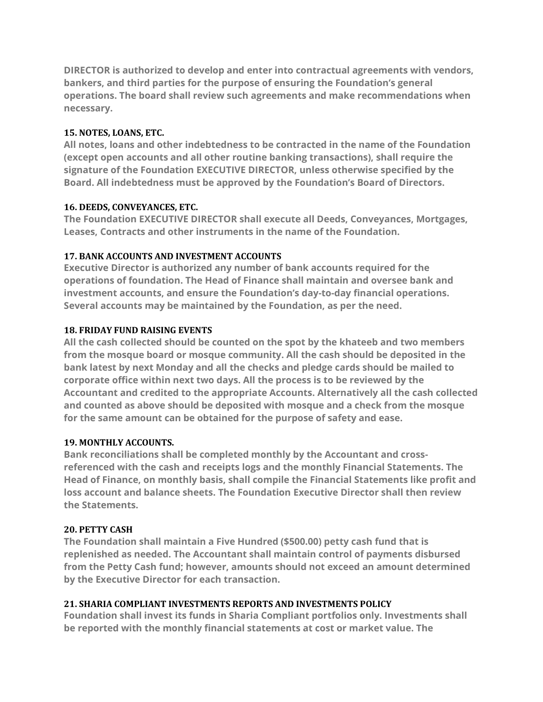**DIRECTOR is authorized to develop and enter into contractual agreements with vendors, bankers, and third parties for the purpose of ensuring the Foundation's general operations. The board shall review such agreements and make recommendations when necessary.**

#### **15. NOTES, LOANS, ETC.**

**All notes, loans and other indebtedness to be contracted in the name of the Foundation (except open accounts and all other routine banking transactions), shall require the signature of the Foundation EXECUTIVE DIRECTOR, unless otherwise specified by the Board. All indebtedness must be approved by the Foundation's Board of Directors.**

#### **16. DEEDS, CONVEYANCES, ETC.**

**The Foundation EXECUTIVE DIRECTOR shall execute all Deeds, Conveyances, Mortgages, Leases, Contracts and other instruments in the name of the Foundation.**

# **17. BANK ACCOUNTS AND INVESTMENT ACCOUNTS**

**Executive Director is authorized any number of bank accounts required for the operations of foundation. The Head of Finance shall maintain and oversee bank and investment accounts, and ensure the Foundation's day-to-day financial operations. Several accounts may be maintained by the Foundation, as per the need.**

#### **18. FRIDAY FUND RAISING EVENTS**

**All the cash collected should be counted on the spot by the khateeb and two members from the mosque board or mosque community. All the cash should be deposited in the bank latest by next Monday and all the checks and pledge cards should be mailed to corporate office within next two days. All the process is to be reviewed by the Accountant and credited to the appropriate Accounts. Alternatively all the cash collected and counted as above should be deposited with mosque and a check from the mosque for the same amount can be obtained for the purpose of safety and ease.**

# **19. MONTHLY ACCOUNTS.**

**Bank reconciliations shall be completed monthly by the Accountant and crossreferenced with the cash and receipts logs and the monthly Financial Statements. The Head of Finance, on monthly basis, shall compile the Financial Statements like profit and loss account and balance sheets. The Foundation Executive Director shall then review the Statements.**

#### **20. PETTY CASH**

**The Foundation shall maintain a Five Hundred (\$500.00) petty cash fund that is replenished as needed. The Accountant shall maintain control of payments disbursed from the Petty Cash fund; however, amounts should not exceed an amount determined by the Executive Director for each transaction.**

# **21. SHARIA COMPLIANT INVESTMENTS REPORTS AND INVESTMENTS POLICY**

**Foundation shall invest its funds in Sharia Compliant portfolios only. Investments shall be reported with the monthly financial statements at cost or market value. The**